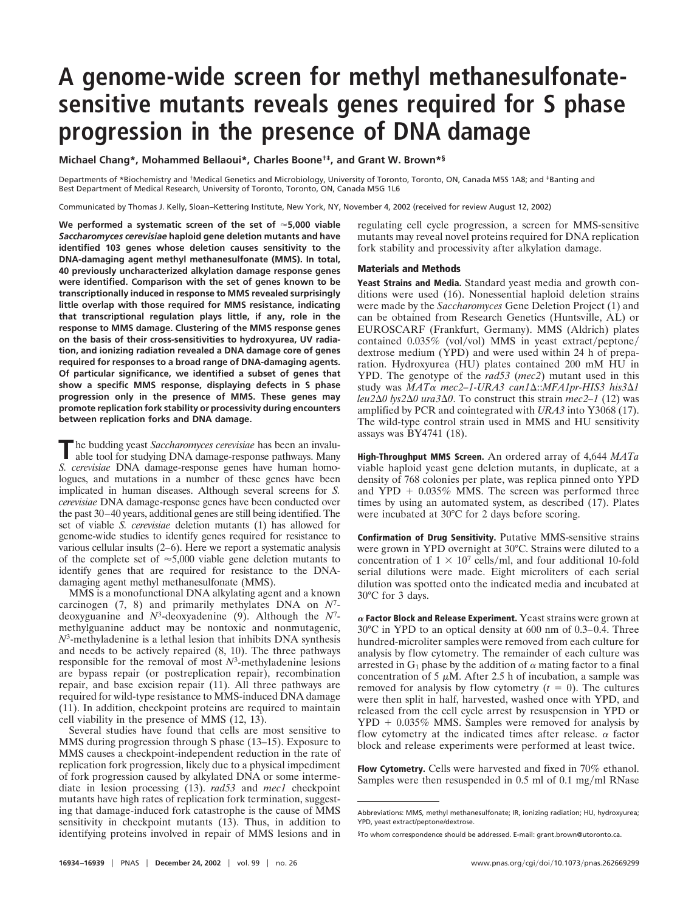## **A genome-wide screen for methyl methanesulfonatesensitive mutants reveals genes required for S phase progression in the presence of DNA damage**

**Michael Chang\*, Mohammed Bellaoui\*, Charles Boone†‡, and Grant W. Brown\*§**

Departments of \*Biochemistry and †Medical Genetics and Microbiology, University of Toronto, Toronto, ON, Canada M5S 1A8; and ‡Banting and Best Department of Medical Research, University of Toronto, Toronto, ON, Canada M5G 1L6

Communicated by Thomas J. Kelly, Sloan–Kettering Institute, New York, NY, November 4, 2002 (received for review August 12, 2002)

**We performed a systematic screen of the set of 5,000 viable** *Saccharomyces cerevisiae* **haploid gene deletion mutants and have identified 103 genes whose deletion causes sensitivity to the DNA-damaging agent methyl methanesulfonate (MMS). In total, 40 previously uncharacterized alkylation damage response genes were identified. Comparison with the set of genes known to be transcriptionally induced in response to MMS revealed surprisingly little overlap with those required for MMS resistance, indicating that transcriptional regulation plays little, if any, role in the response to MMS damage. Clustering of the MMS response genes on the basis of their cross-sensitivities to hydroxyurea, UV radiation, and ionizing radiation revealed a DNA damage core of genes required for responses to a broad range of DNA-damaging agents. Of particular significance, we identified a subset of genes that show a specific MMS response, displaying defects in S phase progression only in the presence of MMS. These genes may promote replication fork stability or processivity during encounters between replication forks and DNA damage.**

**T** he budding yeast *Saccharomyces cerevisiae* has been an invaluable tool for studying DNA damage-response pathways. Many *S. cerevisiae* DNA damage-response genes have human homologues, and mutations in a number of these genes have been implicated in human diseases. Although several screens for *S. cerevisiae* DNA damage-response genes have been conducted over the past 30–40 years, additional genes are still being identified. The set of viable *S. cerevisiae* deletion mutants (1) has allowed for genome-wide studies to identify genes required for resistance to various cellular insults (2–6). Here we report a systematic analysis of the complete set of  $\approx 5,000$  viable gene deletion mutants to identify genes that are required for resistance to the DNAdamaging agent methyl methanesulfonate (MMS).

MMS is a monofunctional DNA alkylating agent and a known carcinogen (7, 8) and primarily methylates DNA on *N*7 deoxyguanine and *N*3-deoxyadenine (9). Although the *N*7 methylguanine adduct may be nontoxic and nonmutagenic, *N*3-methyladenine is a lethal lesion that inhibits DNA synthesis and needs to be actively repaired (8, 10). The three pathways responsible for the removal of most *N*3-methyladenine lesions are bypass repair (or postreplication repair), recombination repair, and base excision repair (11). All three pathways are required for wild-type resistance to MMS-induced DNA damage (11). In addition, checkpoint proteins are required to maintain cell viability in the presence of MMS (12, 13).

Several studies have found that cells are most sensitive to MMS during progression through S phase (13–15). Exposure to MMS causes a checkpoint-independent reduction in the rate of replication fork progression, likely due to a physical impediment of fork progression caused by alkylated DNA or some intermediate in lesion processing (13). *rad53* and *mec1* checkpoint mutants have high rates of replication fork termination, suggesting that damage-induced fork catastrophe is the cause of MMS sensitivity in checkpoint mutants (13). Thus, in addition to identifying proteins involved in repair of MMS lesions and in

regulating cell cycle progression, a screen for MMS-sensitive mutants may reveal novel proteins required for DNA replication fork stability and processivity after alkylation damage.

## **Materials and Methods**

**Yeast Strains and Media.** Standard yeast media and growth conditions were used (16). Nonessential haploid deletion strains were made by the *Saccharomyces* Gene Deletion Project (1) and can be obtained from Research Genetics (Huntsville, AL) or EUROSCARF (Frankfurt, Germany). MMS (Aldrich) plates contained  $0.035\%$  (vol/vol) MMS in yeast extract/peptone/ dextrose medium (YPD) and were used within 24 h of preparation. Hydroxyurea (HU) plates contained 200 mM HU in YPD. The genotype of the *rad53* (*mec2*) mutant used in this study was *MATα mec2–1-URA3 can1*Δ::*MFA1pr-HIS3 his3*Δ1 *leu2∆0 lys2∆0 ura3∆0*. To construct this strain *mec2–1* (12) was amplified by PCR and cointegrated with *URA3* into Y3068 (17). The wild-type control strain used in MMS and HU sensitivity assays was BY4741 (18).

**High-Throughput MMS Screen.** An ordered array of 4,644 *MATa* viable haploid yeast gene deletion mutants, in duplicate, at a density of 768 colonies per plate, was replica pinned onto YPD and  $\text{YPD} + 0.035\%$  MMS. The screen was performed three times by using an automated system, as described (17). Plates were incubated at 30°C for 2 days before scoring.

**Confirmation of Drug Sensitivity.** Putative MMS-sensitive strains were grown in YPD overnight at 30°C. Strains were diluted to a concentration of  $1 \times 10^7$  cells/ml, and four additional 10-fold serial dilutions were made. Eight microliters of each serial dilution was spotted onto the indicated media and incubated at 30°C for 3 days.

 **Factor Block and Release Experiment.** Yeast strains were grown at 30°C in YPD to an optical density at 600 nm of 0.3–0.4. Three hundred-microliter samples were removed from each culture for analysis by flow cytometry. The remainder of each culture was arrested in  $G_1$  phase by the addition of  $\alpha$  mating factor to a final concentration of 5  $\mu$ M. After 2.5 h of incubation, a sample was removed for analysis by flow cytometry  $(t = 0)$ . The cultures were then split in half, harvested, washed once with YPD, and released from the cell cycle arrest by resuspension in YPD or  $YPD + 0.035\%$  MMS. Samples were removed for analysis by flow cytometry at the indicated times after release.  $\alpha$  factor block and release experiments were performed at least twice.

**Flow Cytometry.** Cells were harvested and fixed in 70% ethanol. Samples were then resuspended in  $0.5$  ml of  $0.1$  mg/ml RNase

Abbreviations: MMS, methyl methanesulfonate; IR, ionizing radiation; HU, hydroxyurea; YPD, yeast extract/peptone/dextrose.

<sup>§</sup>To whom correspondence should be addressed. E-mail: grant.brown@utoronto.ca.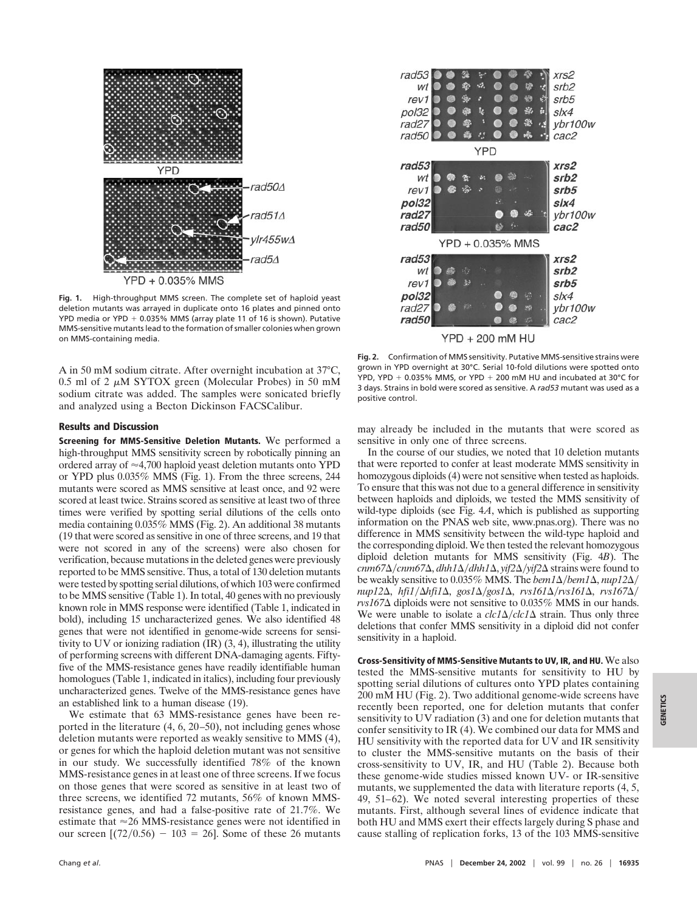

**Fig. 1.** High-throughput MMS screen. The complete set of haploid yeast deletion mutants was arrayed in duplicate onto 16 plates and pinned onto YPD media or YPD  $+$  0.035% MMS (array plate 11 of 16 is shown). Putative MMS-sensitive mutants lead to the formation of smaller colonies when grown on MMS-containing media.

A in 50 mM sodium citrate. After overnight incubation at 37°C,  $0.5$  ml of 2  $\mu$ M SYTOX green (Molecular Probes) in 50 mM sodium citrate was added. The samples were sonicated briefly and analyzed using a Becton Dickinson FACSCalibur.

## **Results and Discussion**

**Screening for MMS-Sensitive Deletion Mutants.** We performed a high-throughput MMS sensitivity screen by robotically pinning an ordered array of  $\approx$  4,700 haploid yeast deletion mutants onto YPD or YPD plus 0.035% MMS (Fig. 1). From the three screens, 244 mutants were scored as MMS sensitive at least once, and 92 were scored at least twice. Strains scored as sensitive at least two of three times were verified by spotting serial dilutions of the cells onto media containing 0.035% MMS (Fig. 2). An additional 38 mutants (19 that were scored as sensitive in one of three screens, and 19 that were not scored in any of the screens) were also chosen for verification, because mutations in the deleted genes were previously reported to be MMS sensitive. Thus, a total of 130 deletion mutants were tested by spotting serial dilutions, of which 103 were confirmed to be MMS sensitive (Table 1). In total, 40 genes with no previously known role in MMS response were identified (Table 1, indicated in bold), including 15 uncharacterized genes. We also identified 48 genes that were not identified in genome-wide screens for sensitivity to UV or ionizing radiation (IR) (3, 4), illustrating the utility of performing screens with different DNA-damaging agents. Fiftyfive of the MMS-resistance genes have readily identifiable human homologues (Table 1, indicated in italics), including four previously uncharacterized genes. Twelve of the MMS-resistance genes have an established link to a human disease (19).

We estimate that 63 MMS-resistance genes have been reported in the literature (4, 6, 20–50), not including genes whose deletion mutants were reported as weakly sensitive to MMS (4), or genes for which the haploid deletion mutant was not sensitive in our study. We successfully identified 78% of the known MMS-resistance genes in at least one of three screens. If we focus on those genes that were scored as sensitive in at least two of three screens, we identified 72 mutants, 56% of known MMSresistance genes, and had a false-positive rate of 21.7%. We estimate that  $\approx$  26 MMS-resistance genes were not identified in our screen  $[(72/0.56) - 103 = 26]$ . Some of these 26 mutants



**Fig. 2.** Confirmation of MMS sensitivity. Putative MMS-sensitive strains were grown in YPD overnight at 30°C. Serial 10-fold dilutions were spotted onto YPD, YPD  $+$  0.035% MMS, or YPD  $+$  200 mM HU and incubated at 30°C for 3 days. Strains in bold were scored as sensitive. A *rad53* mutant was used as a positive control.

may already be included in the mutants that were scored as sensitive in only one of three screens.

In the course of our studies, we noted that 10 deletion mutants that were reported to confer at least moderate MMS sensitivity in homozygous diploids (4) were not sensitive when tested as haploids. To ensure that this was not due to a general difference in sensitivity between haploids and diploids, we tested the MMS sensitivity of wild-type diploids (see Fig. 4*A*, which is published as supporting information on the PNAS web site, www.pnas.org). There was no difference in MMS sensitivity between the wild-type haploid and the corresponding diploid. We then tested the relevant homozygous diploid deletion mutants for MMS sensitivity (Fig. 4*B*). The *cnm67*-*cnm67*-, *dhh1*-*dhh1*-, *yif2*-*yif2*- strains were found to be weakly sensitive to 0.035% MMS. The *bem1*Δ/*bem1*Δ, *nup12*Δ/  $nup12\Delta$ , *hfi1*/ $\Delta$ *hfi1* $\Delta$ , *gos1* $\Delta$ /*gos1* $\Delta$ , *rvs161* $\Delta$ /*rvs161* $\Delta$ , *rvs167* $\Delta$ /  $rvs167\Delta$  diploids were not sensitive to 0.035% MMS in our hands. We were unable to isolate a  $clc1\Delta/clc1\Delta$  strain. Thus only three deletions that confer MMS sensitivity in a diploid did not confer sensitivity in a haploid.

**Cross-Sensitivity of MMS-Sensitive Mutants to UV, IR, and HU.**We also tested the MMS-sensitive mutants for sensitivity to HU by spotting serial dilutions of cultures onto YPD plates containing 200 mM HU (Fig. 2). Two additional genome-wide screens have recently been reported, one for deletion mutants that confer sensitivity to UV radiation (3) and one for deletion mutants that confer sensitivity to IR (4). We combined our data for MMS and HU sensitivity with the reported data for UV and IR sensitivity to cluster the MMS-sensitive mutants on the basis of their cross-sensitivity to UV, IR, and HU (Table 2). Because both these genome-wide studies missed known UV- or IR-sensitive mutants, we supplemented the data with literature reports (4, 5, 49, 51–62). We noted several interesting properties of these mutants. First, although several lines of evidence indicate that both HU and MMS exert their effects largely during S phase and cause stalling of replication forks, 13 of the 103 MMS-sensitive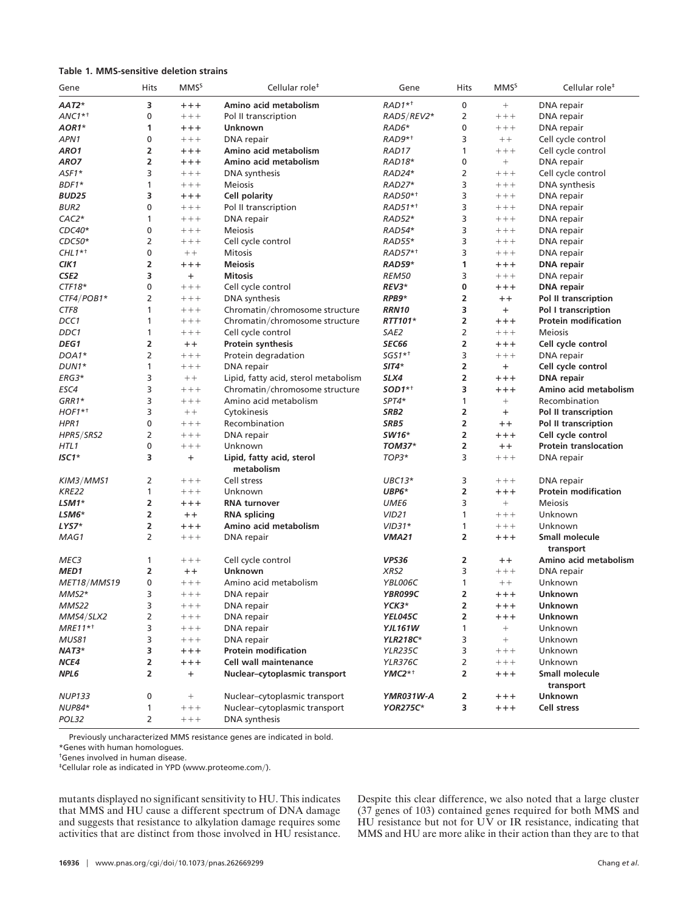## **Table 1. MMS-sensitive deletion strains**

| Gene                  | Hits           | <b>MMS</b> <sup>S</sup> | Cellular role <sup>#</sup>           | Gene                | Hits | <b>MMS</b> <sup>S</sup> | Cellular role <sup>#</sup>   |
|-----------------------|----------------|-------------------------|--------------------------------------|---------------------|------|-------------------------|------------------------------|
| AAT2*                 | 3              | $+++$                   | Amino acid metabolism                | $RAD1**$            | 0    | $^{+}$                  | DNA repair                   |
| $ANC1^{*+}$           | 0              | $++++$                  | Pol II transcription                 | RAD5/REV2*          | 2    | $++++$                  | DNA repair                   |
| AOR1*                 | 1              | $++++$                  | Unknown                              | RAD6*               | 0    | $++++$                  | DNA repair                   |
| APN1                  | 0              | $++++$                  | DNA repair                           | RAD9* <sup>+</sup>  | 3    | $++$                    | Cell cycle control           |
| ARO1                  | 2              | $++++$                  | Amino acid metabolism                | RAD17               | 1    | $++++$                  | Cell cycle control           |
| ARO7                  | 2              | $++++$                  | Amino acid metabolism                | RAD18*              | 0    | $\qquad \qquad +$       | DNA repair                   |
| $AST1*$               | 3              | $++++$                  | DNA synthesis                        | RAD24*              | 2    | $++++$                  | Cell cycle control           |
| BDF1*                 | 1              | $++++$                  | <b>Meiosis</b>                       | RAD27*              | 3    | $++++$                  | DNA synthesis                |
| BUD25                 | 3              | $++++$                  | Cell polarity                        | RAD50* <sup>+</sup> | 3    | $++++$                  | DNA repair                   |
| <b>BUR2</b>           | 0              | $++++$                  | Pol II transcription                 | RAD51* <sup>+</sup> | 3    | $++++$                  | DNA repair                   |
| $CAC2*$               | 1              | $++++$                  | DNA repair                           | RAD52*              | 3    | $++++$                  | DNA repair                   |
| $CDC40*$              | 0              | $++++$                  | <b>Meiosis</b>                       | RAD54*              | 3    | $++++$                  | DNA repair                   |
| $CDC50*$              | 2              | $++++$                  | Cell cycle control                   | RAD55*              | 3    | $++++$                  | DNA repair                   |
| $CHL1**$              | 0              | $++$                    | <b>Mitosis</b>                       | RAD57* <sup>+</sup> | 3    | $++++$                  | DNA repair                   |
| CIK1                  | 2              | $++++$                  | <b>Meiosis</b>                       | <b>RAD59*</b>       | 1    | $++++$                  | <b>DNA</b> repair            |
| CSE <sub>2</sub>      | 3              | $+$                     | <b>Mitosis</b>                       | <b>REM50</b>        | 3    | $++++$                  | DNA repair                   |
| $CTF18*$              | 0              | $++++$                  | Cell cycle control                   | REV3*               | 0    | $++++$                  | <b>DNA</b> repair            |
| CTF4/POB1*            | 2              | $++++$                  | DNA synthesis                        | RPB9*               | 2    | $++$                    | Pol II transcription         |
| CTF8                  | 1              | $++++$                  | Chromatin/chromosome structure       | <b>RRN10</b>        | 3    | $\ddot{}$               | Pol I transcription          |
| DCC1                  | 1              | $++++$                  | Chromatin/chromosome structure       | RTT101*             | 2    | $++++$                  | <b>Protein modification</b>  |
| DDC1                  | 1              | $++++$                  | Cell cycle control                   | SAE2                | 2    | $++++$                  | <b>Mejosis</b>               |
| DEG1                  | 2              | $++$                    | Protein synthesis                    | <b>SEC66</b>        | 2    | $++++$                  | Cell cycle control           |
| DOA1*                 | 2              | $++++$                  | Protein degradation                  | $SGS1**$            | 3    | $++++$                  | DNA repair                   |
| DUN <sub>1</sub> *    | 1              | $++++$                  | DNA repair                           | $SIT4*$             | 2    | $+$                     | Cell cycle control           |
| ERG3*                 | 3              | $++$                    | Lipid, fatty acid, sterol metabolism | SLX4                | 2    | $++++$                  | <b>DNA</b> repair            |
| ESC4                  | 3              | $++++$                  | Chromatin/chromosome structure       | $SOD1**$            | 3    | $++++$                  | Amino acid metabolism        |
| $GRR1*$               | 3              | $++++$                  | Amino acid metabolism                | SPT4*               | 1    |                         | Recombination                |
| $HOF1**$              | 3              | $++$                    | Cytokinesis                          | SRB <sub>2</sub>    | 2    | $+$                     | Pol II transcription         |
| HPR1                  | 0              | $++++$                  | Recombination                        | SRB5                | 2    | $++$                    | Pol II transcription         |
| HPR5/SRS2             | 2              | $++++$                  | DNA repair                           | SW16*               | 2    | $++++$                  | Cell cycle control           |
| HTL1                  | 0              | $++++$                  | Unknown                              | <b>TOM37*</b>       | 2    | $++$                    | <b>Protein translocation</b> |
| $ISC1*$               | 3              | $\ddot{}$               | Lipid, fatty acid, sterol            | TOP3*               | 3    | $++++$                  | DNA repair                   |
|                       |                |                         | metabolism                           |                     |      |                         |                              |
| KIM3/MMS1             | 2              | $++++$                  | Cell stress                          | $UBC13*$            | 3    | $++++$                  | DNA repair                   |
| <b>KRE22</b>          | 1              | $++++$                  | Unknown                              | $UBP6*$             | 2    | $++++$                  | <b>Protein modification</b>  |
| $LSM1*$               | 2              | $++++$                  | <b>RNA turnover</b>                  | UME <sub>6</sub>    | 3    | $+$                     | <b>Meiosis</b>               |
| LSM6*                 | 2              | $++$                    | <b>RNA</b> splicing                  | <b>VID21</b>        | 1    | $+++$                   | Unknown                      |
| LYS7*                 | 2              | $++++$                  | Amino acid metabolism                | $VID31*$            | 1    | $++++$                  | Unknown                      |
| MAG1                  | 2              | $++++$                  | DNA repair                           | <b>VMA21</b>        | 2    | $++++$                  | Small molecule               |
|                       |                |                         |                                      |                     |      |                         | transport                    |
| MEC3                  | 1              | $++++$                  | Cell cycle control                   | VPS36               | 2    | $++$                    | Amino acid metabolism        |
| MED1                  | 2              | $++$                    | <b>Unknown</b>                       | XRS2                | 3    | $++++$                  | DNA repair                   |
| MET18/MMS19           | 0              | $++++$                  | Amino acid metabolism                | YBL006C             | 1    | $++$                    | Unknown                      |
| MMS2*                 | 3              | $++++$                  | DNA repair                           | YBR099C             | 2    | $++++$                  | Unknown                      |
| MMS22                 | 3              | $++++$                  | DNA repair                           | YCK3*               | 2    | $++++$                  | <b>Unknown</b>               |
| MMS4/SLX2             | 2              | $++++$                  | DNA repair                           | YEL045C             | 2    | $++++$                  | <b>Unknown</b>               |
| $MRE11*$ <sup>+</sup> | 3              | $++++$                  | DNA repair                           | <b>YJL161W</b>      | 1    | $\qquad \qquad +$       | Unknown                      |
| MUS81                 | 3              | $+++$                   | DNA repair                           | <b>YLR218C*</b>     | 3    | $+$                     | Unknown                      |
| NAT3*                 | 3              | $++++$                  | <b>Protein modification</b>          | <b>YLR235C</b>      | 3    | $++++$                  | Unknown                      |
| NCE4                  | 2              | $++++$                  | Cell wall maintenance                | <b>YLR376C</b>      | 2    | $++++$                  | Unknown                      |
| NPL6                  | $\overline{2}$ | $+$                     | Nuclear-cytoplasmic transport        | $YMC2^{*+}$         | 2    | $++++$                  | Small molecule               |
|                       |                |                         |                                      |                     |      |                         | transport                    |
| <b>NUP133</b>         | 0              | $\! + \!\!\!\!$         | Nuclear-cytoplasmic transport        | YMR031W-A           | 2    | $++++$                  | <b>Unknown</b>               |
| <b>NUP84*</b>         | 1              | $++++$                  | Nuclear-cytoplasmic transport        | <b>YOR275C*</b>     | 3    | $++++$                  | Cell stress                  |
| POL32                 | $\overline{2}$ | $+++$                   | DNA synthesis                        |                     |      |                         |                              |

Previously uncharacterized MMS resistance genes are indicated in bold.

\*Genes with human homologues.

†Genes involved in human disease.

‡Cellular role as indicated in YPD (www.proteome.com).

mutants displayed no significant sensitivity to HU. This indicates that MMS and HU cause a different spectrum of DNA damage and suggests that resistance to alkylation damage requires some activities that are distinct from those involved in HU resistance.

Despite this clear difference, we also noted that a large cluster (37 genes of 103) contained genes required for both MMS and  $H$ U resistance but not for UV or IR resistance, indicating that MMS and HU are more alike in their action than they are to that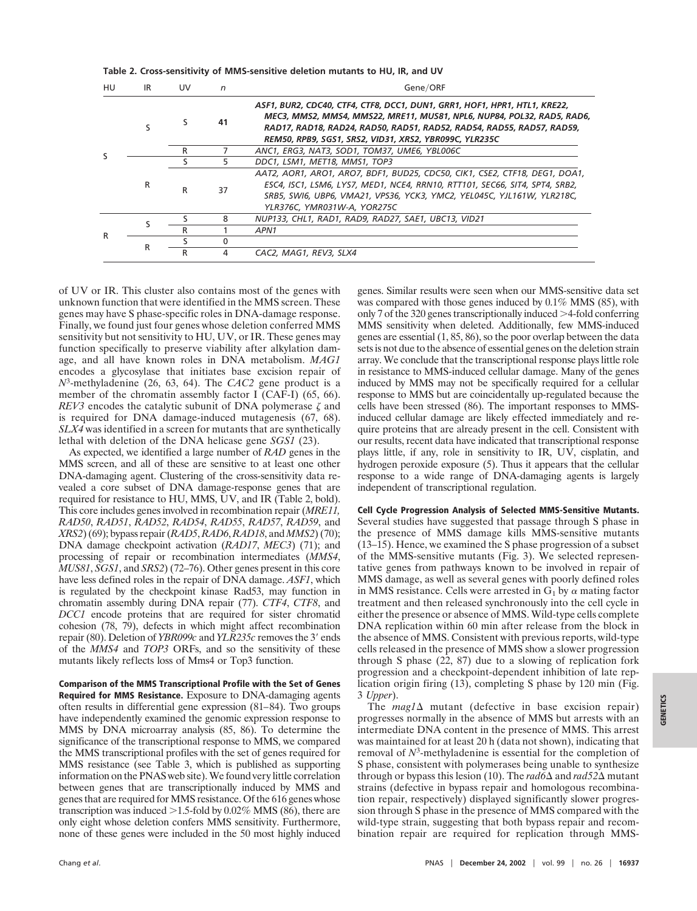| HU | IR | <b>UV</b> | n                                                                                                                                                                                                                                                                        | Gene/ORF                                                                                                                                                                                                                                                                               |  |
|----|----|-----------|--------------------------------------------------------------------------------------------------------------------------------------------------------------------------------------------------------------------------------------------------------------------------|----------------------------------------------------------------------------------------------------------------------------------------------------------------------------------------------------------------------------------------------------------------------------------------|--|
|    | ς  | S         | 41                                                                                                                                                                                                                                                                       | ASF1, BUR2, CDC40, CTF4, CTF8, DCC1, DUN1, GRR1, HOF1, HPR1, HTL1, KRE22,<br>MEC3, MMS2, MMS4, MMS22, MRE11, MUS81, NPL6, NUP84, POL32, RAD5, RAD6,<br>RAD17, RAD18, RAD24, RAD50, RAD51, RAD52, RAD54, RAD55, RAD57, RAD59,<br>REM50, RPB9, SGS1, SRS2, VID31, XRS2, YBR099C, YLR235C |  |
|    |    | R         |                                                                                                                                                                                                                                                                          | ANC1, ERG3, NAT3, SOD1, TOM37, UME6, YBL006C                                                                                                                                                                                                                                           |  |
|    | R  | S.        | 5.                                                                                                                                                                                                                                                                       | DDC1, LSM1, MET18, MMS1, TOP3                                                                                                                                                                                                                                                          |  |
|    |    | R         | AAT2, AOR1, ARO1, ARO7, BDF1, BUD25, CDC50, CIK1, CSE2, CTF18, DEG1, DOA1,<br>ESC4, ISC1, LSM6, LYS7, MED1, NCE4, RRN10, RTT101, SEC66, SIT4, SPT4, SRB2,<br>37<br>SRB5, SWI6, UBP6, VMA21, VPS36, YCK3, YMC2, YEL045C, YJL161W, YLR218C,<br>YLR376C, YMR031W-A, YOR275C |                                                                                                                                                                                                                                                                                        |  |
| R  |    |           | 8                                                                                                                                                                                                                                                                        | NUP133, CHL1, RAD1, RAD9, RAD27, SAE1, UBC13, VID21                                                                                                                                                                                                                                    |  |
|    |    | R         |                                                                                                                                                                                                                                                                          | APN <sub>1</sub>                                                                                                                                                                                                                                                                       |  |
|    | R  |           |                                                                                                                                                                                                                                                                          |                                                                                                                                                                                                                                                                                        |  |
|    |    | R         | 4                                                                                                                                                                                                                                                                        | CAC2, MAG1, REV3, SLX4                                                                                                                                                                                                                                                                 |  |

**Table 2. Cross-sensitivity of MMS-sensitive deletion mutants to HU, IR, and UV**

of UV or IR. This cluster also contains most of the genes with unknown function that were identified in the MMS screen. These genes may have S phase-specific roles in DNA-damage response. Finally, we found just four genes whose deletion conferred MMS sensitivity but not sensitivity to HU, UV, or IR. These genes may function specifically to preserve viability after alkylation damage, and all have known roles in DNA metabolism. *MAG1* encodes a glycosylase that initiates base excision repair of *N*3-methyladenine (26, 63, 64). The *CAC2* gene product is a member of the chromatin assembly factor I (CAF-I) (65, 66). *REV3* encodes the catalytic subunit of DNA polymerase  $\zeta$  and is required for DNA damage-induced mutagenesis (67, 68). *SLX4* was identified in a screen for mutants that are synthetically lethal with deletion of the DNA helicase gene *SGS1* (23).

As expected, we identified a large number of *RAD* genes in the MMS screen, and all of these are sensitive to at least one other DNA-damaging agent. Clustering of the cross-sensitivity data revealed a core subset of DNA damage-response genes that are required for resistance to HU, MMS, UV, and IR (Table 2, bold). This core includes genes involved in recombination repair (*MRE11, RAD50*, *RAD51*, *RAD52*, *RAD54*, *RAD55*, *RAD57*, *RAD59*, and *XRS2*) (69); bypass repair (*RAD5*,*RAD6*,*RAD18*, and *MMS2*) (70); DNA damage checkpoint activation (*RAD17*, *MEC3*) (71); and processing of repair or recombination intermediates (*MMS4*, *MUS81*, *SGS1*, and *SRS2*) (72–76). Other genes present in this core have less defined roles in the repair of DNA damage. *ASF1*, which is regulated by the checkpoint kinase Rad53, may function in chromatin assembly during DNA repair (77). *CTF4*, *CTF8*, and *DCC1* encode proteins that are required for sister chromatid cohesion (78, 79), defects in which might affect recombination repair (80). Deletion of *YBR099c* and *YLR235c* removes the 3' ends of the *MMS4* and *TOP3* ORFs, and so the sensitivity of these mutants likely reflects loss of Mms4 or Top3 function.

**Comparison of the MMS Transcriptional Profile with the Set of Genes Required for MMS Resistance.** Exposure to DNA-damaging agents often results in differential gene expression (81–84). Two groups have independently examined the genomic expression response to MMS by DNA microarray analysis (85, 86). To determine the significance of the transcriptional response to MMS, we compared the MMS transcriptional profiles with the set of genes required for MMS resistance (see Table 3, which is published as supporting information on the PNAS web site). We found very little correlation between genes that are transcriptionally induced by MMS and genes that are required for MMS resistance. Of the 616 genes whose transcription was induced  $>1.5$ -fold by 0.02% MMS (86), there are only eight whose deletion confers MMS sensitivity. Furthermore, none of these genes were included in the 50 most highly induced genes. Similar results were seen when our MMS-sensitive data set was compared with those genes induced by  $0.1\%$  MMS (85), with only 7 of the 320 genes transcriptionally induced  $>4$ -fold conferring MMS sensitivity when deleted. Additionally, few MMS-induced genes are essential (1, 85, 86), so the poor overlap between the data sets is not due to the absence of essential genes on the deletion strain array. We conclude that the transcriptional response plays little role in resistance to MMS-induced cellular damage. Many of the genes induced by MMS may not be specifically required for a cellular response to MMS but are coincidentally up-regulated because the cells have been stressed (86). The important responses to MMSinduced cellular damage are likely effected immediately and require proteins that are already present in the cell. Consistent with our results, recent data have indicated that transcriptional response plays little, if any, role in sensitivity to IR, UV, cisplatin, and hydrogen peroxide exposure (5). Thus it appears that the cellular response to a wide range of DNA-damaging agents is largely independent of transcriptional regulation.

**Cell Cycle Progression Analysis of Selected MMS-Sensitive Mutants.** Several studies have suggested that passage through S phase in the presence of MMS damage kills MMS-sensitive mutants (13–15). Hence, we examined the S phase progression of a subset of the MMS-sensitive mutants (Fig. 3). We selected representative genes from pathways known to be involved in repair of MMS damage, as well as several genes with poorly defined roles in MMS resistance. Cells were arrested in  $G_1$  by  $\alpha$  mating factor treatment and then released synchronously into the cell cycle in either the presence or absence of MMS. Wild-type cells complete DNA replication within 60 min after release from the block in the absence of MMS. Consistent with previous reports, wild-type cells released in the presence of MMS show a slower progression through S phase (22, 87) due to a slowing of replication fork progression and a checkpoint-dependent inhibition of late replication origin firing (13), completing S phase by 120 min (Fig. 3 *Upper*).

The  $mag1\Delta$  mutant (defective in base excision repair) progresses normally in the absence of MMS but arrests with an intermediate DNA content in the presence of MMS. This arrest was maintained for at least 20 h (data not shown), indicating that removal of *N*3-methyladenine is essential for the completion of S phase, consistent with polymerases being unable to synthesize through or bypass this lesion (10). The *rad6*∆ and *rad52*∆ mutant strains (defective in bypass repair and homologous recombination repair, respectively) displayed significantly slower progression through S phase in the presence of MMS compared with the wild-type strain, suggesting that both bypass repair and recombination repair are required for replication through MMS-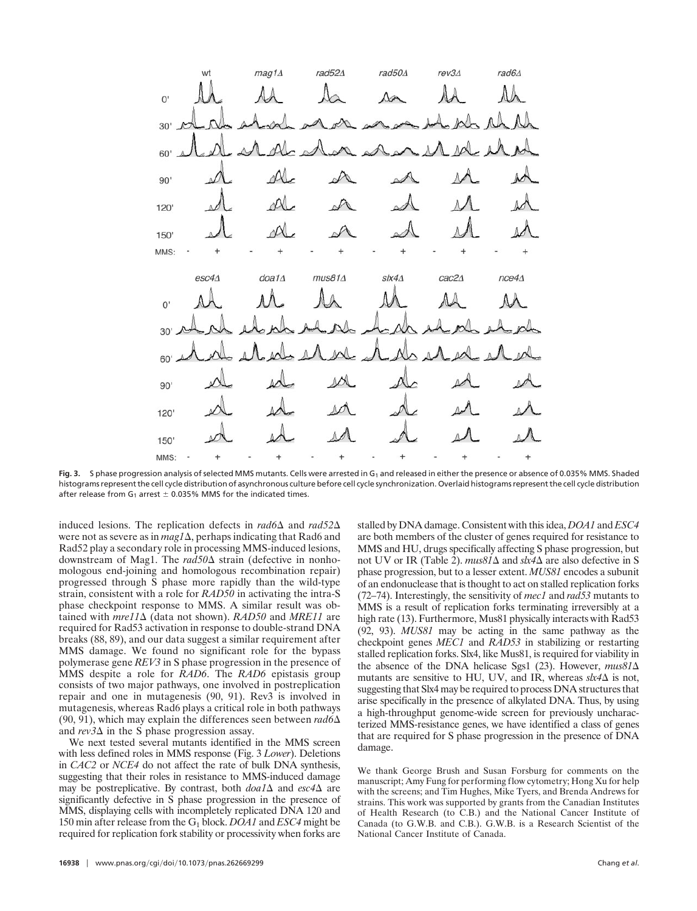

Fig. 3. S phase progression analysis of selected MMS mutants. Cells were arrested in G<sub>1</sub> and released in either the presence or absence of 0.035% MMS. Shaded histograms represent the cell cycle distribution of asynchronous culture before cell cycle synchronization. Overlaid histograms represent the cell cycle distribution after release from  $G_1$  arrest  $\pm$  0.035% MMS for the indicated times.

induced lesions. The replication defects in  $rad6\Delta$  and  $rad52\Delta$ were not as severe as in *mag1*  $\Delta$ , perhaps indicating that Rad6 and Rad52 play a secondary role in processing MMS-induced lesions, downstream of Mag1. The *rad50* $\Delta$  strain (defective in nonhomologous end-joining and homologous recombination repair) progressed through S phase more rapidly than the wild-type strain, consistent with a role for *RAD50* in activating the intra-S phase checkpoint response to MMS. A similar result was obtained with *mre11* $\Delta$  (data not shown). *RAD50* and *MRE11* are required for Rad53 activation in response to double-strand DNA breaks (88, 89), and our data suggest a similar requirement after MMS damage. We found no significant role for the bypass polymerase gene *REV3* in S phase progression in the presence of MMS despite a role for *RAD6*. The *RAD6* epistasis group consists of two major pathways, one involved in postreplication repair and one in mutagenesis (90, 91). Rev3 is involved in mutagenesis, whereas Rad6 plays a critical role in both pathways (90, 91), which may explain the differences seen between  $rad6\Delta$ and  $rev3\Delta$  in the S phase progression assay.

We next tested several mutants identified in the MMS screen with less defined roles in MMS response (Fig. 3 *Lower*). Deletions in *CAC2* or *NCE4* do not affect the rate of bulk DNA synthesis, suggesting that their roles in resistance to MMS-induced damage may be postreplicative. By contrast, both  $doa1\Delta$  and  $esc4\Delta$  are significantly defective in S phase progression in the presence of MMS, displaying cells with incompletely replicated DNA 120 and 150 min after release from the G1 block. *DOA1* and *ESC4* might be required for replication fork stability or processivity when forks are

**16938** chang *et al.* Chang *et al.* Chang *et al.* Chang *et al.* Chang *et al.* Chang *et al.* Chang *et al.* Chang *et al.* Chang *et al.* Chang *et al.* Chang *et al.* Chang *et al.* Chang *et al.* Chang *et al.* Chan

stalled by DNA damage. Consistent with this idea, *DOA1* and *ESC4* are both members of the cluster of genes required for resistance to MMS and HU, drugs specifically affecting S phase progression, but not UV or IR (Table 2).  $mus81\Delta$  and  $sk4\Delta$  are also defective in S phase progression, but to a lesser extent. *MUS81* encodes a subunit of an endonuclease that is thought to act on stalled replication forks (72–74). Interestingly, the sensitivity of *mec1* and *rad53* mutants to MMS is a result of replication forks terminating irreversibly at a high rate (13). Furthermore, Mus81 physically interacts with Rad53 (92, 93). *MUS81* may be acting in the same pathway as the checkpoint genes *MEC1* and *RAD53* in stabilizing or restarting stalled replication forks. Slx4, like Mus81, is required for viability in the absence of the DNA helicase Sgs1 (23). However, *mus81* mutants are sensitive to HU, UV, and IR, whereas  $\text{sk4}\Delta$  is not, suggesting that Slx4 may be required to process DNA structures that arise specifically in the presence of alkylated DNA. Thus, by using a high-throughput genome-wide screen for previously uncharacterized MMS-resistance genes, we have identified a class of genes that are required for S phase progression in the presence of DNA damage.

We thank George Brush and Susan Forsburg for comments on the manuscript; Amy Fung for performing flow cytometry; Hong Xu for help with the screens; and Tim Hughes, Mike Tyers, and Brenda Andrews for strains. This work was supported by grants from the Canadian Institutes of Health Research (to C.B.) and the National Cancer Institute of Canada (to G.W.B. and C.B.). G.W.B. is a Research Scientist of the National Cancer Institute of Canada.